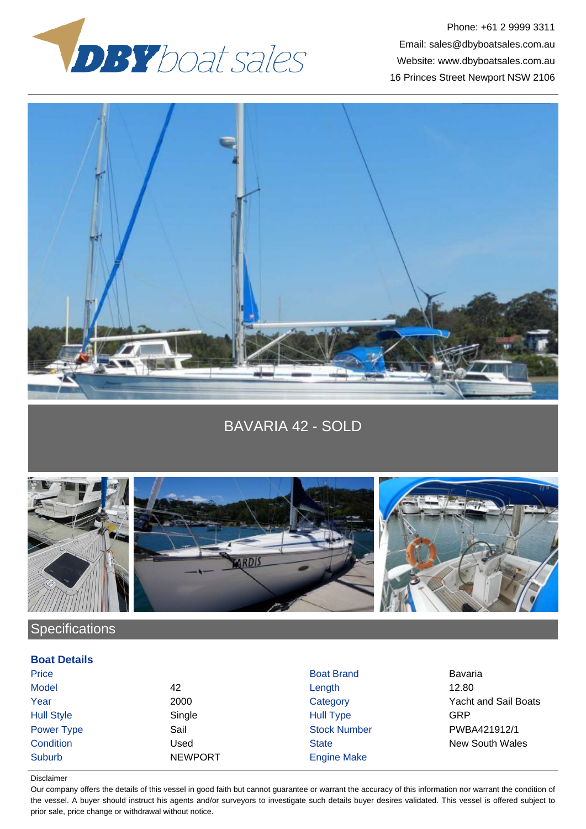

Phone: +61 2 9999 3311 Email: sales@dbyboatsales.com.au Website: www.dbyboatsales.com.au 16 Princes Street Newport NSW 2106



BAVARIA 42 - SOLD





**Specifications** 

## **Boat Details**

Price **Boat Brand Bavaria** Boat Brand Bavaria Bavaria Model 42 Length 12.80 Hull Style Single Hull Type GRP Suburb NEWPORT Engine Make

Year 2000 Category Yacht and Sail Boats Power Type Sail Sail Sail Stock Number Stock Number PWBA421912/1 **Condition** Condition **Condition** Used State State New South Wales

## Disclaimer

Our company offers the details of this vessel in good faith but cannot guarantee or warrant the accuracy of this information nor warrant the condition of the vessel. A buyer should instruct his agents and/or surveyors to investigate such details buyer desires validated. This vessel is offered subject to prior sale, price change or withdrawal without notice.